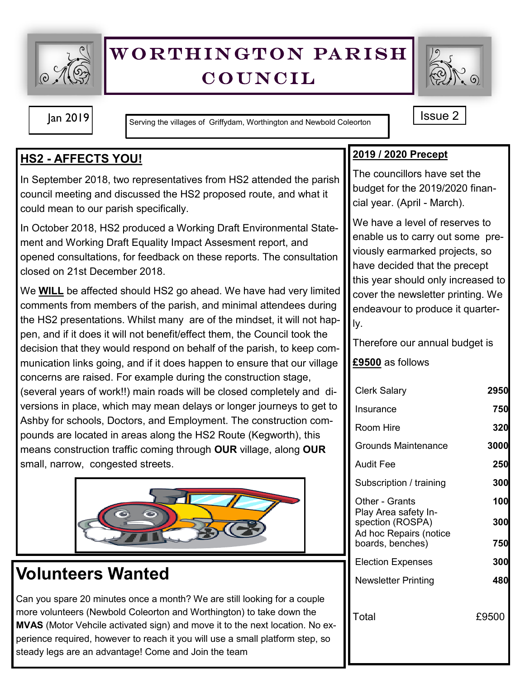

# WORTHINGTON PARISH **COUNCIL**



Jan 2019 **ISSUE 2** Serving the villages of Griffydam, Worthington and Newbold Coleorton

## **HS2 - AFFECTS YOU!**

In September 2018, two representatives from HS2 attended the parish council meeting and discussed the HS2 proposed route, and what it could mean to our parish specifically.

In October 2018, HS2 produced a Working Draft Environmental Statement and Working Draft Equality Impact Assesment report, and opened consultations, for feedback on these reports. The consultation closed on 21st December 2018.

We **WILL** be affected should HS2 go ahead. We have had very limited comments from members of the parish, and minimal attendees during the HS2 presentations. Whilst many are of the mindset, it will not happen, and if it does it will not benefit/effect them, the Council took the decision that they would respond on behalf of the parish, to keep communication links going, and if it does happen to ensure that our village concerns are raised. For example during the construction stage,

(several years of work!!) main roads will be closed completely and diversions in place, which may mean delays or longer journeys to get to Ashby for schools, Doctors, and Employment. The construction compounds are located in areas along the HS2 Route (Kegworth), this means construction traffic coming through **OUR** village, along **OUR** small, narrow, congested streets.



# **Volunteers Wanted**

Can you spare 20 minutes once a month? We are still looking for a couple more volunteers (Newbold Coleorton and Worthington) to take down the **MVAS** (Motor Vehcile activated sign) and move it to the next location. No experience required, however to reach it you will use a small platform step, so steady legs are an advantage! Come and Join the team

## **2019 / 2020 Precept**

The councillors have set the budget for the 2019/2020 financial year. (April - March).

We have a level of reserves to enable us to carry out some previously earmarked projects, so have decided that the precept this year should only increased to cover the newsletter printing. We endeavour to produce it quarterly.

Therefore our annual budget is

### **£9500** as follows

| <b>Clerk Salary</b>                                                                    | 2950  |
|----------------------------------------------------------------------------------------|-------|
| Insurance                                                                              | 750   |
| Room Hire                                                                              | 320   |
| Grounds Maintenance                                                                    | 3000  |
| Audit Fee                                                                              | 250   |
| Subscription / training                                                                | 300   |
| Other - Grants                                                                         | 100   |
| Play Area safety In-<br>spection (ROSPA)<br>Ad hoc Repairs (notice<br>boards, benches) | 300   |
|                                                                                        | 750   |
| <b>Election Expenses</b>                                                               | 300   |
| Newsletter Printing                                                                    | 480   |
| Total                                                                                  | £9500 |